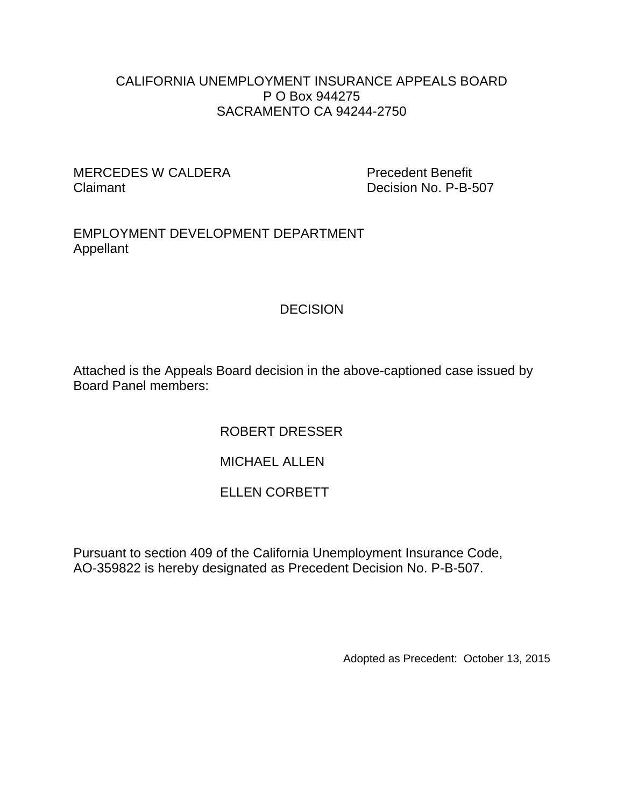#### CALIFORNIA UNEMPLOYMENT INSURANCE APPEALS BOARD P O Box 944275 SACRAMENTO CA 94244-2750

#### MERCEDES W CALDERA Precedent Benefit Claimant Decision No. P-B-507

EMPLOYMENT DEVELOPMENT DEPARTMENT Appellant

# **DECISION**

Attached is the Appeals Board decision in the above-captioned case issued by Board Panel members:

## ROBERT DRESSER

## MICHAEL ALLEN

## ELLEN CORBETT

Pursuant to section 409 of the California Unemployment Insurance Code, AO-359822 is hereby designated as Precedent Decision No. P-B-507.

Adopted as Precedent: October 13, 2015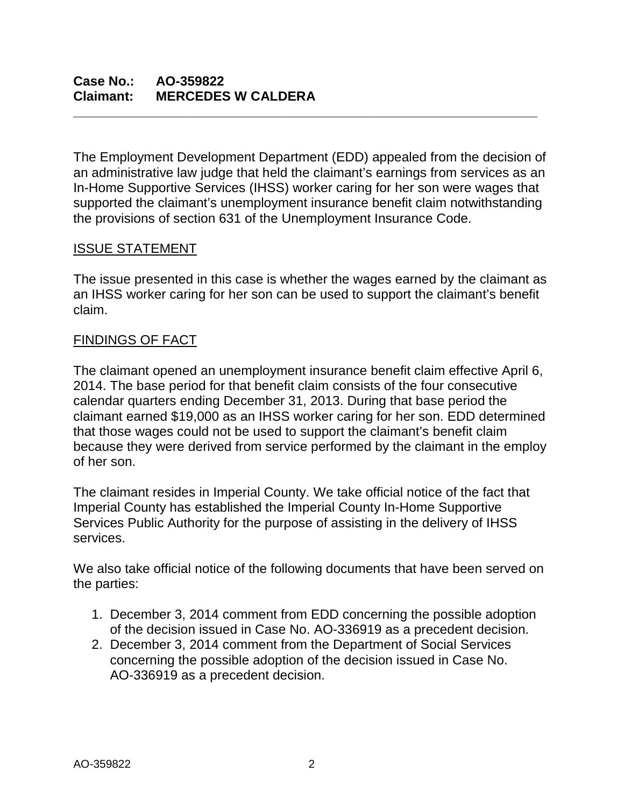The Employment Development Department (EDD) appealed from the decision of an administrative law judge that held the claimant's earnings from services as an In-Home Supportive Services (IHSS) worker caring for her son were wages that supported the claimant's unemployment insurance benefit claim notwithstanding the provisions of section 631 of the Unemployment Insurance Code.

**\_\_\_\_\_\_\_\_\_\_\_\_\_\_\_\_\_\_\_\_\_\_\_\_\_\_\_\_\_\_\_\_\_\_\_\_\_\_\_\_\_\_\_\_\_\_\_\_\_\_\_\_\_\_\_\_\_\_\_\_\_\_\_**

## ISSUE STATEMENT

The issue presented in this case is whether the wages earned by the claimant as an IHSS worker caring for her son can be used to support the claimant's benefit claim.

## FINDINGS OF FACT

The claimant opened an unemployment insurance benefit claim effective April 6, 2014. The base period for that benefit claim consists of the four consecutive calendar quarters ending December 31, 2013. During that base period the claimant earned \$19,000 as an IHSS worker caring for her son. EDD determined that those wages could not be used to support the claimant's benefit claim because they were derived from service performed by the claimant in the employ of her son.

The claimant resides in Imperial County. We take official notice of the fact that Imperial County has established the Imperial County In-Home Supportive Services Public Authority for the purpose of assisting in the delivery of IHSS services.

We also take official notice of the following documents that have been served on the parties:

- 1. December 3, 2014 comment from EDD concerning the possible adoption of the decision issued in Case No. AO-336919 as a precedent decision.
- 2. December 3, 2014 comment from the Department of Social Services concerning the possible adoption of the decision issued in Case No. AO-336919 as a precedent decision.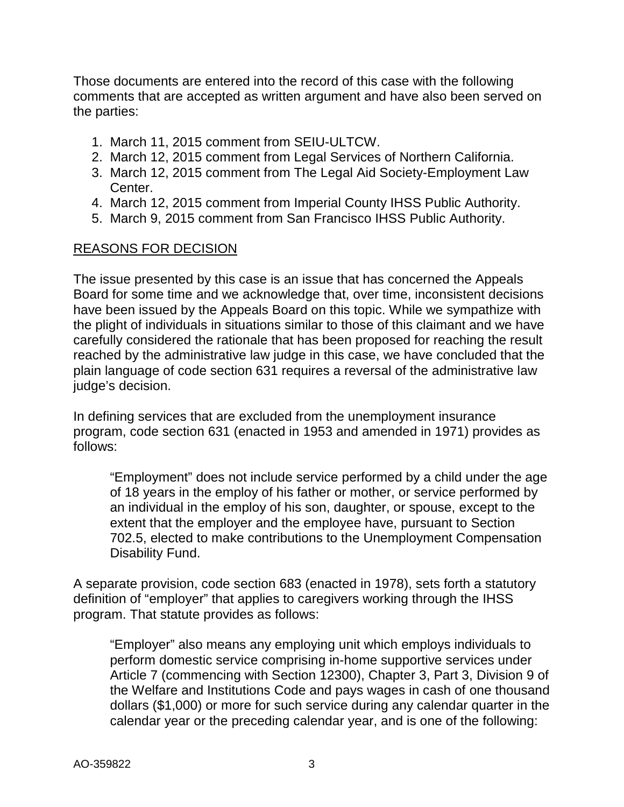Those documents are entered into the record of this case with the following comments that are accepted as written argument and have also been served on the parties:

- 1. March 11, 2015 comment from SEIU-ULTCW.
- 2. March 12, 2015 comment from Legal Services of Northern California.
- 3. March 12, 2015 comment from The Legal Aid Society-Employment Law Center.
- 4. March 12, 2015 comment from Imperial County IHSS Public Authority.
- 5. March 9, 2015 comment from San Francisco IHSS Public Authority.

#### REASONS FOR DECISION

The issue presented by this case is an issue that has concerned the Appeals Board for some time and we acknowledge that, over time, inconsistent decisions have been issued by the Appeals Board on this topic. While we sympathize with the plight of individuals in situations similar to those of this claimant and we have carefully considered the rationale that has been proposed for reaching the result reached by the administrative law judge in this case, we have concluded that the plain language of code section 631 requires a reversal of the administrative law judge's decision.

In defining services that are excluded from the unemployment insurance program, code section 631 (enacted in 1953 and amended in 1971) provides as follows:

"Employment" does not include service performed by a child under the age of 18 years in the employ of his father or mother, or service performed by an individual in the employ of his son, daughter, or spouse, except to the extent that the employer and the employee have, pursuant to Section 702.5, elected to make contributions to the Unemployment Compensation Disability Fund.

A separate provision, code section 683 (enacted in 1978), sets forth a statutory definition of "employer" that applies to caregivers working through the IHSS program. That statute provides as follows:

"Employer" also means any employing unit which employs individuals to perform domestic service comprising in-home supportive services under Article 7 (commencing with Section 12300), Chapter 3, Part 3, Division 9 of the Welfare and Institutions Code and pays wages in cash of one thousand dollars (\$1,000) or more for such service during any calendar quarter in the calendar year or the preceding calendar year, and is one of the following: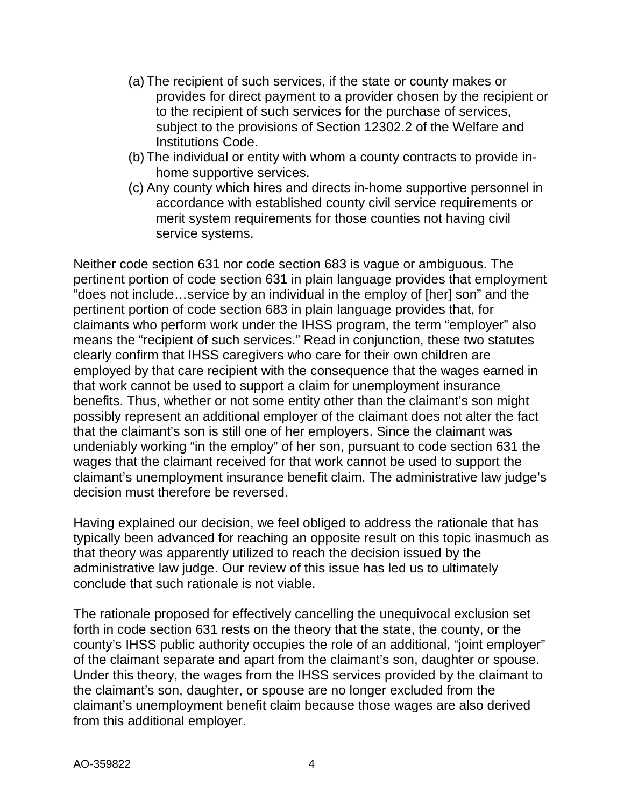- (a) The recipient of such services, if the state or county makes or provides for direct payment to a provider chosen by the recipient or to the recipient of such services for the purchase of services, subject to the provisions of Section 12302.2 of the Welfare and Institutions Code.
- (b) The individual or entity with whom a county contracts to provide inhome supportive services.
- (c) Any county which hires and directs in-home supportive personnel in accordance with established county civil service requirements or merit system requirements for those counties not having civil service systems.

Neither code section 631 nor code section 683 is vague or ambiguous. The pertinent portion of code section 631 in plain language provides that employment "does not include…service by an individual in the employ of [her] son" and the pertinent portion of code section 683 in plain language provides that, for claimants who perform work under the IHSS program, the term "employer" also means the "recipient of such services." Read in conjunction, these two statutes clearly confirm that IHSS caregivers who care for their own children are employed by that care recipient with the consequence that the wages earned in that work cannot be used to support a claim for unemployment insurance benefits. Thus, whether or not some entity other than the claimant's son might possibly represent an additional employer of the claimant does not alter the fact that the claimant's son is still one of her employers. Since the claimant was undeniably working "in the employ" of her son, pursuant to code section 631 the wages that the claimant received for that work cannot be used to support the claimant's unemployment insurance benefit claim. The administrative law judge's decision must therefore be reversed.

Having explained our decision, we feel obliged to address the rationale that has typically been advanced for reaching an opposite result on this topic inasmuch as that theory was apparently utilized to reach the decision issued by the administrative law judge. Our review of this issue has led us to ultimately conclude that such rationale is not viable.

The rationale proposed for effectively cancelling the unequivocal exclusion set forth in code section 631 rests on the theory that the state, the county, or the county's IHSS public authority occupies the role of an additional, "joint employer" of the claimant separate and apart from the claimant's son, daughter or spouse. Under this theory, the wages from the IHSS services provided by the claimant to the claimant's son, daughter, or spouse are no longer excluded from the claimant's unemployment benefit claim because those wages are also derived from this additional employer.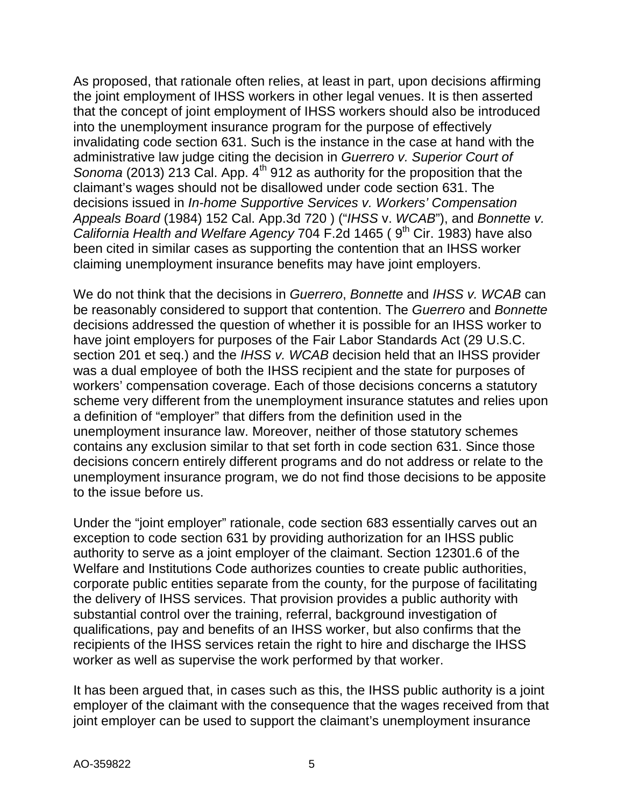As proposed, that rationale often relies, at least in part, upon decisions affirming the joint employment of IHSS workers in other legal venues. It is then asserted that the concept of joint employment of IHSS workers should also be introduced into the unemployment insurance program for the purpose of effectively invalidating code section 631. Such is the instance in the case at hand with the administrative law judge citing the decision in *Guerrero v. Superior Court of Sonoma* (2013) 213 Cal. App. 4<sup>th</sup> 912 as authority for the proposition that the claimant's wages should not be disallowed under code section 631. The decisions issued in *In-home Supportive Services v. Workers' Compensation Appeals Board* (1984) 152 Cal. App.3d 720 ) ("*IHSS* v. *WCAB*"), and *Bonnette v. California Health and Welfare Agency* 704 F.2d 1465 (9<sup>th</sup> Cir. 1983) have also been cited in similar cases as supporting the contention that an IHSS worker claiming unemployment insurance benefits may have joint employers.

We do not think that the decisions in *Guerrero*, *Bonnette* and *IHSS v. WCAB* can be reasonably considered to support that contention. The *Guerrero* and *Bonnette* decisions addressed the question of whether it is possible for an IHSS worker to have joint employers for purposes of the Fair Labor Standards Act (29 U.S.C. section 201 et seq.) and the *IHSS v. WCAB* decision held that an IHSS provider was a dual employee of both the IHSS recipient and the state for purposes of workers' compensation coverage. Each of those decisions concerns a statutory scheme very different from the unemployment insurance statutes and relies upon a definition of "employer" that differs from the definition used in the unemployment insurance law. Moreover, neither of those statutory schemes contains any exclusion similar to that set forth in code section 631. Since those decisions concern entirely different programs and do not address or relate to the unemployment insurance program, we do not find those decisions to be apposite to the issue before us.

Under the "joint employer" rationale, code section 683 essentially carves out an exception to code section 631 by providing authorization for an IHSS public authority to serve as a joint employer of the claimant. Section 12301.6 of the Welfare and Institutions Code authorizes counties to create public authorities, corporate public entities separate from the county, for the purpose of facilitating the delivery of IHSS services. That provision provides a public authority with substantial control over the training, referral, background investigation of qualifications, pay and benefits of an IHSS worker, but also confirms that the recipients of the IHSS services retain the right to hire and discharge the IHSS worker as well as supervise the work performed by that worker.

It has been argued that, in cases such as this, the IHSS public authority is a joint employer of the claimant with the consequence that the wages received from that joint employer can be used to support the claimant's unemployment insurance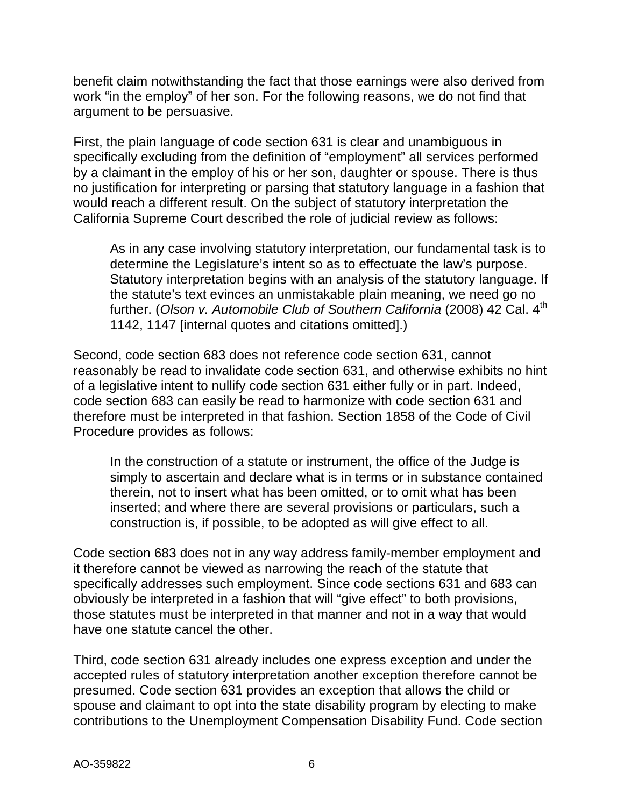benefit claim notwithstanding the fact that those earnings were also derived from work "in the employ" of her son. For the following reasons, we do not find that argument to be persuasive.

First, the plain language of code section 631 is clear and unambiguous in specifically excluding from the definition of "employment" all services performed by a claimant in the employ of his or her son, daughter or spouse. There is thus no justification for interpreting or parsing that statutory language in a fashion that would reach a different result. On the subject of statutory interpretation the California Supreme Court described the role of judicial review as follows:

As in any case involving statutory interpretation, our fundamental task is to determine the Legislature's intent so as to effectuate the law's purpose. Statutory interpretation begins with an analysis of the statutory language. If the statute's text evinces an unmistakable plain meaning, we need go no further. (Olson v. Automobile Club of Southern California (2008) 42 Cal. 4<sup>th</sup> 1142, 1147 [internal quotes and citations omitted].)

Second, code section 683 does not reference code section 631, cannot reasonably be read to invalidate code section 631, and otherwise exhibits no hint of a legislative intent to nullify code section 631 either fully or in part. Indeed, code section 683 can easily be read to harmonize with code section 631 and therefore must be interpreted in that fashion. Section 1858 of the Code of Civil Procedure provides as follows:

In the construction of a statute or instrument, the office of the Judge is simply to ascertain and declare what is in terms or in substance contained therein, not to insert what has been omitted, or to omit what has been inserted; and where there are several provisions or particulars, such a construction is, if possible, to be adopted as will give effect to all.

Code section 683 does not in any way address family-member employment and it therefore cannot be viewed as narrowing the reach of the statute that specifically addresses such employment. Since code sections 631 and 683 can obviously be interpreted in a fashion that will "give effect" to both provisions, those statutes must be interpreted in that manner and not in a way that would have one statute cancel the other.

Third, code section 631 already includes one express exception and under the accepted rules of statutory interpretation another exception therefore cannot be presumed. Code section 631 provides an exception that allows the child or spouse and claimant to opt into the state disability program by electing to make contributions to the Unemployment Compensation Disability Fund. Code section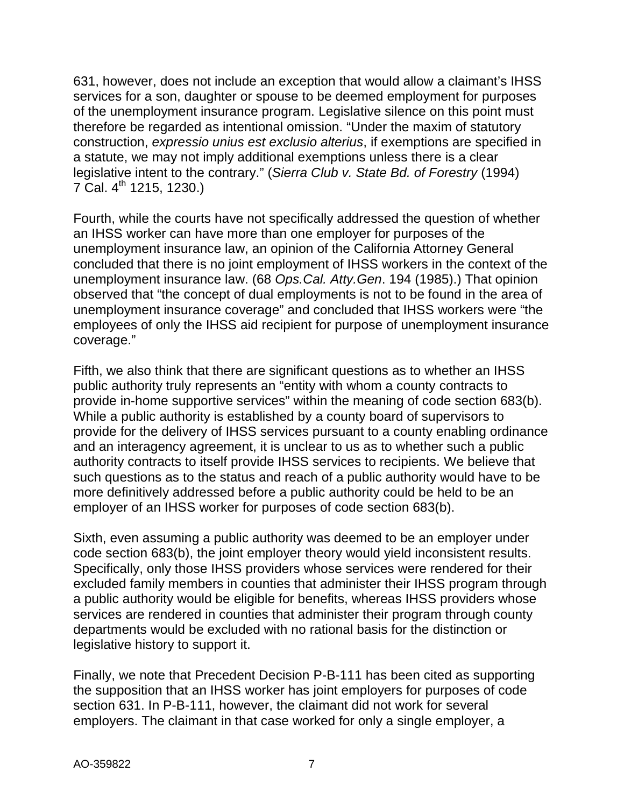631, however, does not include an exception that would allow a claimant's IHSS services for a son, daughter or spouse to be deemed employment for purposes of the unemployment insurance program. Legislative silence on this point must therefore be regarded as intentional omission. "Under the maxim of statutory construction, *expressio unius est exclusio alterius*, if exemptions are specified in a statute, we may not imply additional exemptions unless there is a clear legislative intent to the contrary." (*Sierra Club v. State Bd. of Forestry* (1994)  $7$  Cal.  $4^{\text{th}}$  1215, 1230.)

Fourth, while the courts have not specifically addressed the question of whether an IHSS worker can have more than one employer for purposes of the unemployment insurance law, an opinion of the California Attorney General concluded that there is no joint employment of IHSS workers in the context of the unemployment insurance law. (68 *Ops.Cal. Atty.Gen*. 194 (1985).) That opinion observed that "the concept of dual employments is not to be found in the area of unemployment insurance coverage" and concluded that IHSS workers were "the employees of only the IHSS aid recipient for purpose of unemployment insurance coverage."

Fifth, we also think that there are significant questions as to whether an IHSS public authority truly represents an "entity with whom a county contracts to provide in-home supportive services" within the meaning of code section 683(b). While a public authority is established by a county board of supervisors to provide for the delivery of IHSS services pursuant to a county enabling ordinance and an interagency agreement, it is unclear to us as to whether such a public authority contracts to itself provide IHSS services to recipients. We believe that such questions as to the status and reach of a public authority would have to be more definitively addressed before a public authority could be held to be an employer of an IHSS worker for purposes of code section 683(b).

Sixth, even assuming a public authority was deemed to be an employer under code section 683(b), the joint employer theory would yield inconsistent results. Specifically, only those IHSS providers whose services were rendered for their excluded family members in counties that administer their IHSS program through a public authority would be eligible for benefits, whereas IHSS providers whose services are rendered in counties that administer their program through county departments would be excluded with no rational basis for the distinction or legislative history to support it.

Finally, we note that Precedent Decision P-B-111 has been cited as supporting the supposition that an IHSS worker has joint employers for purposes of code section 631. In P-B-111, however, the claimant did not work for several employers. The claimant in that case worked for only a single employer, a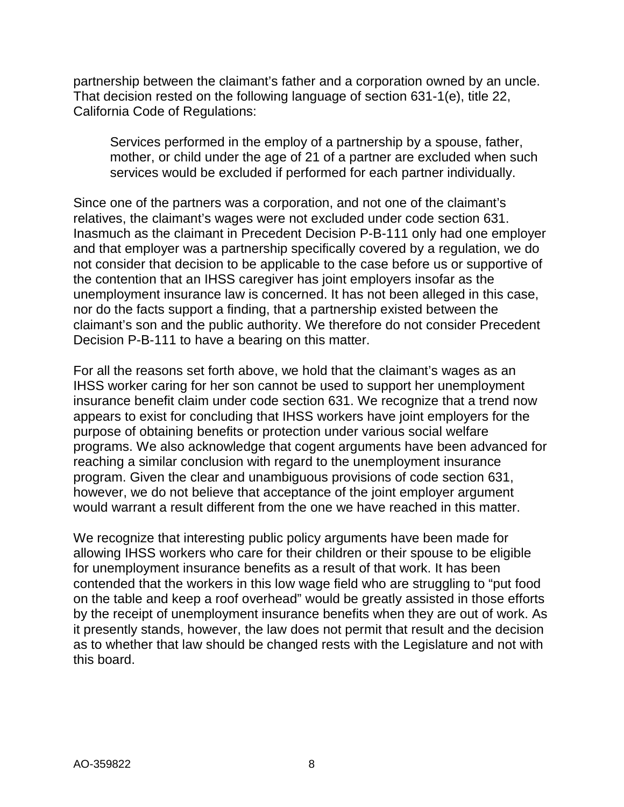partnership between the claimant's father and a corporation owned by an uncle. That decision rested on the following language of section 631-1(e), title 22, California Code of Regulations:

Services performed in the employ of a partnership by a spouse, father, mother, or child under the age of 21 of a partner are excluded when such services would be excluded if performed for each partner individually.

Since one of the partners was a corporation, and not one of the claimant's relatives, the claimant's wages were not excluded under code section 631. Inasmuch as the claimant in Precedent Decision P-B-111 only had one employer and that employer was a partnership specifically covered by a regulation, we do not consider that decision to be applicable to the case before us or supportive of the contention that an IHSS caregiver has joint employers insofar as the unemployment insurance law is concerned. It has not been alleged in this case, nor do the facts support a finding, that a partnership existed between the claimant's son and the public authority. We therefore do not consider Precedent Decision P-B-111 to have a bearing on this matter.

For all the reasons set forth above, we hold that the claimant's wages as an IHSS worker caring for her son cannot be used to support her unemployment insurance benefit claim under code section 631. We recognize that a trend now appears to exist for concluding that IHSS workers have joint employers for the purpose of obtaining benefits or protection under various social welfare programs. We also acknowledge that cogent arguments have been advanced for reaching a similar conclusion with regard to the unemployment insurance program. Given the clear and unambiguous provisions of code section 631, however, we do not believe that acceptance of the joint employer argument would warrant a result different from the one we have reached in this matter.

We recognize that interesting public policy arguments have been made for allowing IHSS workers who care for their children or their spouse to be eligible for unemployment insurance benefits as a result of that work. It has been contended that the workers in this low wage field who are struggling to "put food on the table and keep a roof overhead" would be greatly assisted in those efforts by the receipt of unemployment insurance benefits when they are out of work. As it presently stands, however, the law does not permit that result and the decision as to whether that law should be changed rests with the Legislature and not with this board.